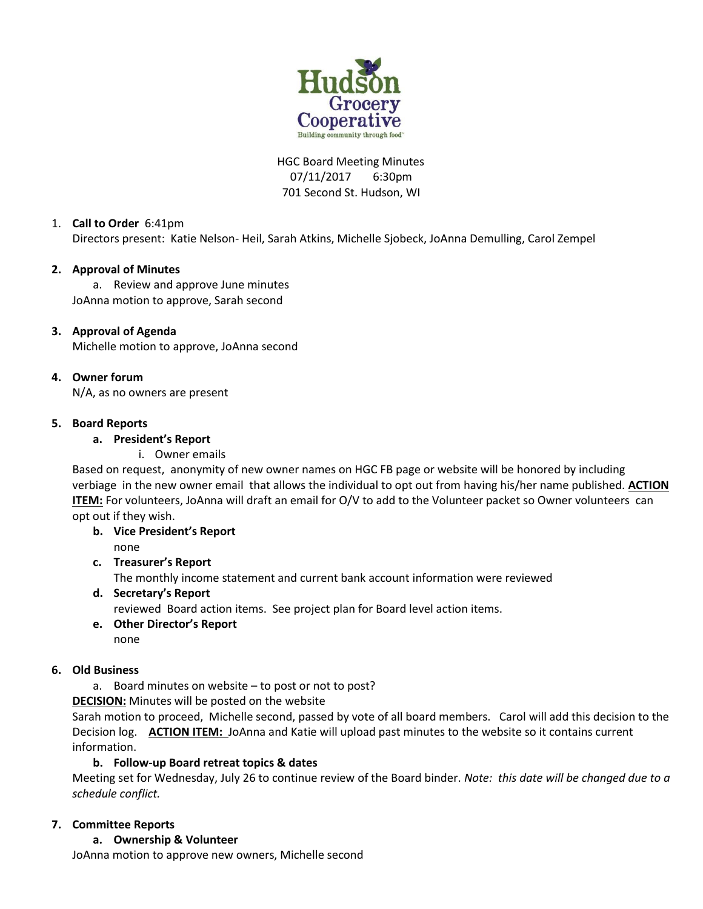

# HGC Board Meeting Minutes 07/11/2017 6:30pm 701 Second St. Hudson, WI

# 1. **Call to Order** 6:41pm

Directors present: Katie Nelson- Heil, Sarah Atkins, Michelle Sjobeck, JoAnna Demulling, Carol Zempel

## **2. Approval of Minutes**

a. Review and approve June minutes JoAnna motion to approve, Sarah second

## **3. Approval of Agenda**

Michelle motion to approve, JoAnna second

## **4. Owner forum**

N/A, as no owners are present

## **5. Board Reports**

## **a. President's Report**

i. Owner emails

Based on request, anonymity of new owner names on HGC FB page or website will be honored by including verbiage in the new owner email that allows the individual to opt out from having his/her name published. **ACTION ITEM:** For volunteers, JoAnna will draft an email for O/V to add to the Volunteer packet so Owner volunteers can opt out if they wish.

# **b. Vice President's Report**

none

### **c. Treasurer's Report**

The monthly income statement and current bank account information were reviewed

# **d. Secretary's Report**

reviewed Board action items. See project plan for Board level action items.

#### **e. Other Director's Report**  none

# **6. Old Business**

a. Board minutes on website – to post or not to post?

**DECISION:** Minutes will be posted on the website

Sarah motion to proceed, Michelle second, passed by vote of all board members. Carol will add this decision to the Decision log. **ACTION ITEM:** JoAnna and Katie will upload past minutes to the website so it contains current information.

# **b. Follow-up Board retreat topics & dates**

Meeting set for Wednesday, July 26 to continue review of the Board binder. *Note: this date will be changed due to a schedule conflict.*

# **7. Committee Reports**

### **a. Ownership & Volunteer**

JoAnna motion to approve new owners, Michelle second